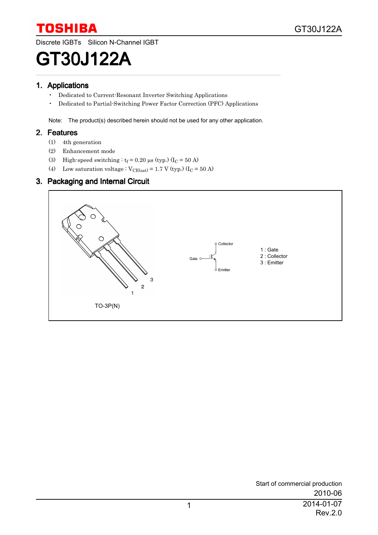Discrete IGBTs Silicon N-Channel IGBT

# GT30J122A

#### 1. Applications

- Dedicated to Current-Resonant Inverter Switching Applications
- Dedicated to Partial-Switching Power Factor Correction (PFC) Applications

Note: The product(s) described herein should not be used for any other application.

#### 2. Features

- (1) 4th generation
- (2) Enhancement mode
- (3) High-speed switching :  $t_f = 0.20 \,\mu s$  (typ.) (I<sub>C</sub> = 50 A)
- (4) Low saturation voltage :  $V_{CE(sat)} = 1.7$  V (typ.) (I<sub>C</sub> = 50 A)

#### 3. Packaging and Internal Circuit

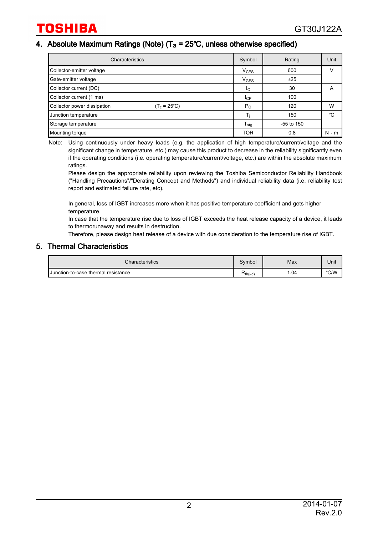#### 4. Absolute Maximum Ratings (Note) ( $T_a = 25^{\circ}$ C, unless otherwise specified)

| Characteristics                                      | Symbol           | Rating         | Unit        |
|------------------------------------------------------|------------------|----------------|-------------|
| Collector-emitter voltage                            | $V_{CES}$        | 600            |             |
| Gate-emitter voltage                                 | $V_{GES}$        | ±25            |             |
| Collector current (DC)                               | <sub>IC</sub>    | 30             | A           |
| Collector current (1 ms)                             | $I_{CP}$         | 100            |             |
| Collector power dissipation<br>$(T_c = 25^{\circ}C)$ | $P_{C}$          | 120            | W           |
| Junction temperature                                 |                  | 150            | °C          |
| Storage temperature                                  | $T_{\text{stg}}$ | $-55$ to $150$ |             |
| Mounting torque                                      | <b>TOR</b>       | 0.8            | $N \cdot m$ |

Note: Using continuously under heavy loads (e.g. the application of high temperature/current/voltage and the significant change in temperature, etc.) may cause this product to decrease in the reliability significantly even if the operating conditions (i.e. operating temperature/current/voltage, etc.) are within the absolute maximum ratings.

Please design the appropriate reliability upon reviewing the Toshiba Semiconductor Reliability Handbook ("Handling Precautions"/"Derating Concept and Methods") and individual reliability data (i.e. reliability test report and estimated failure rate, etc).

In general, loss of IGBT increases more when it has positive temperature coefficient and gets higher temperature.

In case that the temperature rise due to loss of IGBT exceeds the heat release capacity of a device, it leads to thermorunaway and results in destruction.

Therefore, please design heat release of a device with due consideration to the temperature rise of IGBT.

#### 5. Thermal Characteristics

| Characteristics                     | Symbol | Max   | Unit |
|-------------------------------------|--------|-------|------|
| Junction-to-case thermal resistance |        | 04. ا | °C/W |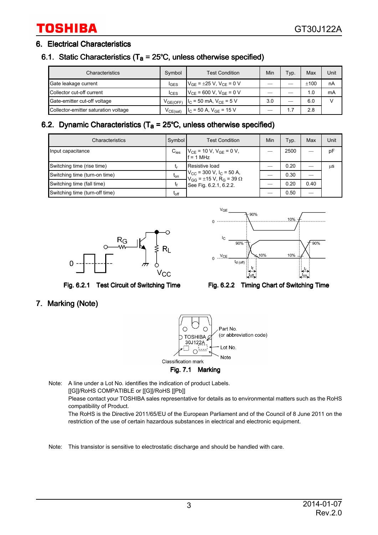#### 6. Electrical Characteristics

#### 6.1. Static Characteristics ( $T_a = 25^{\circ}$ C, unless otherwise specified)

| Characteristics                      | Symbol           | <b>Test Condition</b>                        | Min | Typ. | Max    | Unit          |
|--------------------------------------|------------------|----------------------------------------------|-----|------|--------|---------------|
| Gate leakage current                 | <b>IGES</b>      | $V_{GF}$ = $\pm 25$ V, V <sub>CF</sub> = 0 V |     |      | $+100$ | nA            |
| Collector cut-off current            | $_{\text{CCES}}$ | $V_{CF}$ = 600 V, V <sub>GE</sub> = 0 V      |     |      | 1.0    | mA            |
| Gate-emitter cut-off voltage         | $V_{GE(OFF)}$    | $I_C$ = 50 mA, $V_{CE}$ = 5 V                | 3.0 |      | 6.0    | $\mathcal{L}$ |
| Collector-emitter saturation voltage | $V_{CE(sat)}$    | $IC$ = 50 A, V <sub>GE</sub> = 15 V          |     | 1.7  | 2.8    |               |

#### 6.2. Dynamic Characteristics ( $T_a = 25^{\circ}$ C, unless otherwise specified)

| Characteristics                | Symbol    | <b>Test Condition</b>                                                                                | Min | Typ. | Max  | Unit |
|--------------------------------|-----------|------------------------------------------------------------------------------------------------------|-----|------|------|------|
| Input capacitance              |           | $C_{\text{ies}}$ $V_{\text{CE}} = 10 \text{ V}, V_{\text{GE}} = 0 \text{ V},$<br>$f = 1 \text{ MHz}$ |     | 2500 |      | pF   |
| Switching time (rise time)     |           | Resistive load                                                                                       |     | 0.20 |      | μS   |
| Switching time (turn-on time)  | $t_{on}$  | $V_{CG}$ = 300 V, I <sub>C</sub> = 50 A,<br>$V_{GG}$ = ±15 V, R <sub>G</sub> = 39 Ω                  |     | 0.30 |      |      |
| Switching time (fall time)     | t۴        | See Fig. 6.2.1, 6.2.2.                                                                               |     | 0.20 | 0.40 |      |
| Switching time (turn-off time) | $t_{off}$ |                                                                                                      |     | 0.50 |      |      |





Fig. 6.2.1 Test Circuit of Switching Time Fig. 6.2.2 Timing Chart of Switching Time

#### 7. Marking (Note)



Fig. 7.1 Marking

Note: A line under a Lot No. identifies the indication of product Labels. [[G]]/RoHS COMPATIBLE or [[G]]/RoHS [[Pb]] Please contact your TOSHIBA sales representative for details as to environmental matters such as the RoHS compatibility of Product. The RoHS is the Directive 2011/65/EU of the European Parliament and of the Council of 8 June 2011 on the restriction of the use of certain hazardous substances in electrical and electronic equipment.

Note: This transistor is sensitive to electrostatic discharge and should be handled with care.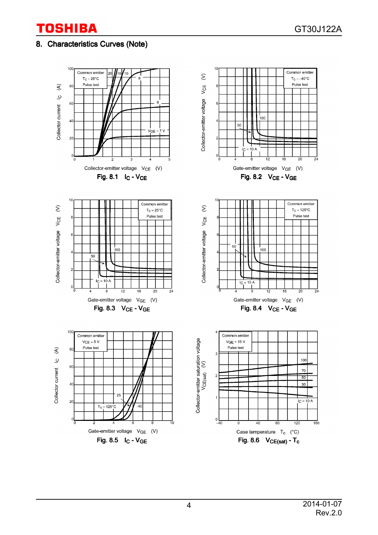#### 8. Characteristics Curves (Note)

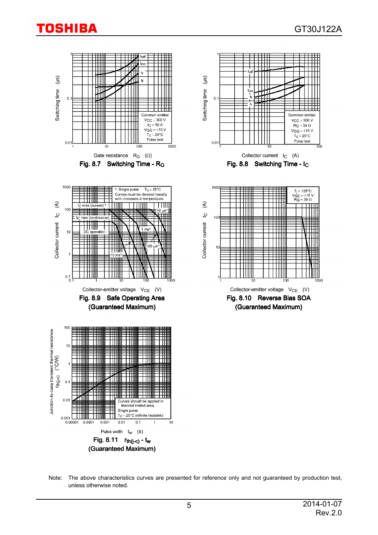

Note: The above characteristics curves are presented for reference only and not guaranteed by production test, unless otherwise noted.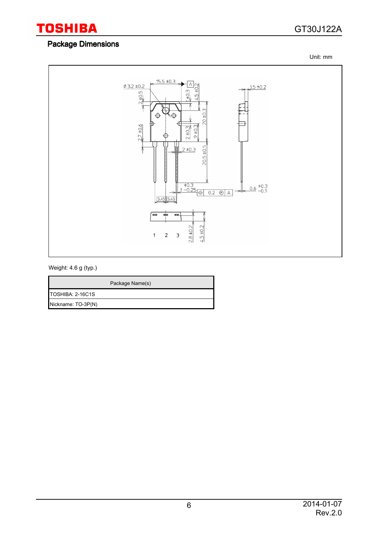### GT30J122A

#### Package Dimensions

Unit: mm



#### Weight: 4.6 g (typ.)

|                         | Package Name(s) |
|-------------------------|-----------------|
| <b>TOSHIBA: 2-16C1S</b> |                 |
| Nickname: TO-3P(N)      |                 |